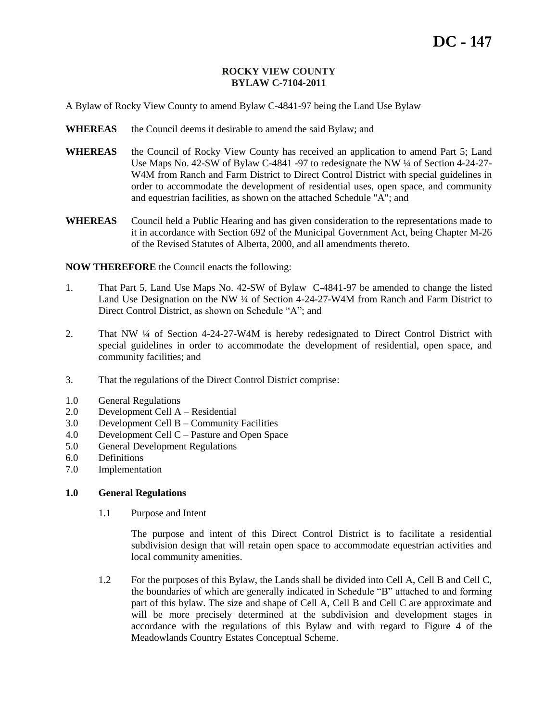### **ROCKY VIEW COUNTY BYLAW C-7104-2011**

A Bylaw of Rocky View County to amend Bylaw C-4841-97 being the Land Use Bylaw

- **WHEREAS** the Council deems it desirable to amend the said Bylaw; and
- **WHEREAS** the Council of Rocky View County has received an application to amend Part 5; Land Use Maps No. 42-SW of Bylaw C-4841 -97 to redesignate the NW ¼ of Section 4-24-27- W4M from Ranch and Farm District to Direct Control District with special guidelines in order to accommodate the development of residential uses, open space, and community and equestrian facilities, as shown on the attached Schedule "A"; and
- **WHEREAS** Council held a Public Hearing and has given consideration to the representations made to it in accordance with Section 692 of the Municipal Government Act, being Chapter M-26 of the Revised Statutes of Alberta, 2000, and all amendments thereto.

**NOW THEREFORE** the Council enacts the following:

- 1. That Part 5, Land Use Maps No. 42-SW of Bylaw C-4841-97 be amended to change the listed Land Use Designation on the NW ¼ of Section 4-24-27-W4M from Ranch and Farm District to Direct Control District, as shown on Schedule "A"; and
- 2. That NW ¼ of Section 4-24-27-W4M is hereby redesignated to Direct Control District with special guidelines in order to accommodate the development of residential, open space, and community facilities; and
- 3. That the regulations of the Direct Control District comprise:
- 1.0 General Regulations
- 2.0 Development Cell A Residential
- 3.0 Development Cell B Community Facilities
- 4.0 Development Cell C Pasture and Open Space
- 5.0 General Development Regulations
- 6.0 Definitions
- 7.0 Implementation

#### **1.0 General Regulations**

1.1 Purpose and Intent

The purpose and intent of this Direct Control District is to facilitate a residential subdivision design that will retain open space to accommodate equestrian activities and local community amenities.

1.2 For the purposes of this Bylaw, the Lands shall be divided into Cell A, Cell B and Cell C, the boundaries of which are generally indicated in Schedule "B" attached to and forming part of this bylaw. The size and shape of Cell A, Cell B and Cell C are approximate and will be more precisely determined at the subdivision and development stages in accordance with the regulations of this Bylaw and with regard to Figure 4 of the Meadowlands Country Estates Conceptual Scheme.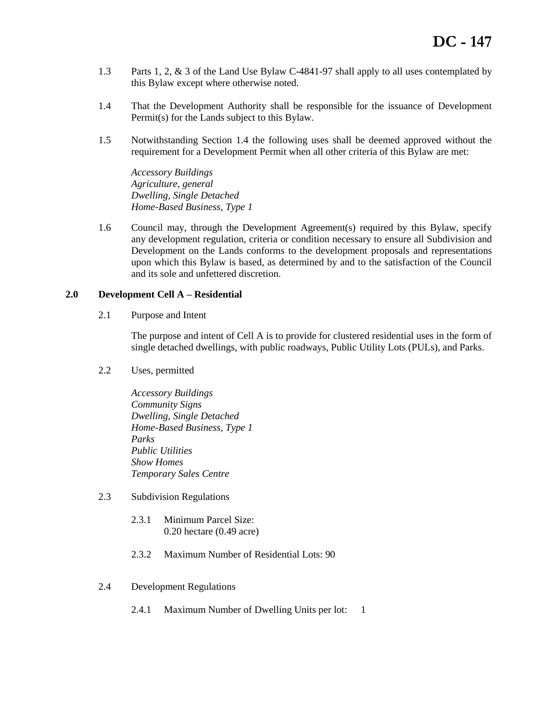- 1.3 Parts 1, 2, & 3 of the Land Use Bylaw C-4841-97 shall apply to all uses contemplated by this Bylaw except where otherwise noted.
- 1.4 That the Development Authority shall be responsible for the issuance of Development Permit(s) for the Lands subject to this Bylaw.
- 1.5 Notwithstanding Section 1.4 the following uses shall be deemed approved without the requirement for a Development Permit when all other criteria of this Bylaw are met:

*Accessory Buildings Agriculture, general Dwelling, Single Detached Home-Based Business, Type 1*

1.6 Council may, through the Development Agreement(s) required by this Bylaw, specify any development regulation, criteria or condition necessary to ensure all Subdivision and Development on the Lands conforms to the development proposals and representations upon which this Bylaw is based, as determined by and to the satisfaction of the Council and its sole and unfettered discretion.

## **2.0 Development Cell A – Residential**

2.1 Purpose and Intent

The purpose and intent of Cell A is to provide for clustered residential uses in the form of single detached dwellings, with public roadways, Public Utility Lots (PULs), and Parks.

2.2 Uses, permitted

*Accessory Buildings Community Signs Dwelling, Single Detached Home-Based Business, Type 1 Parks Public Utilities Show Homes Temporary Sales Centre*

- 2.3 Subdivision Regulations
	- 2.3.1 Minimum Parcel Size: 0.20 hectare (0.49 acre)
	- 2.3.2 Maximum Number of Residential Lots: 90
- 2.4 Development Regulations
	- 2.4.1 Maximum Number of Dwelling Units per lot: 1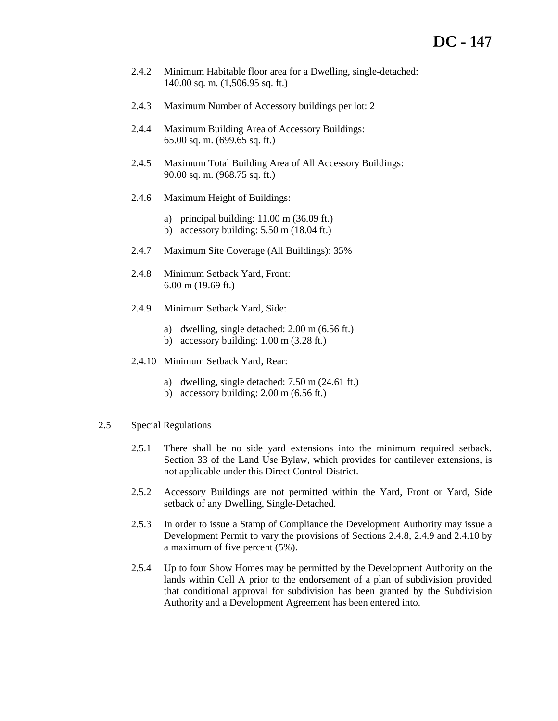- 2.4.2 Minimum Habitable floor area for a Dwelling, single-detached: 140.00 sq. m. (1,506.95 sq. ft.)
- 2.4.3 Maximum Number of Accessory buildings per lot: 2
- 2.4.4 Maximum Building Area of Accessory Buildings: 65.00 sq. m. (699.65 sq. ft.)
- 2.4.5 Maximum Total Building Area of All Accessory Buildings: 90.00 sq. m. (968.75 sq. ft.)
- 2.4.6 Maximum Height of Buildings:
	- a) principal building: 11.00 m (36.09 ft.)
	- b) accessory building: 5.50 m (18.04 ft.)
- 2.4.7 Maximum Site Coverage (All Buildings): 35%
- 2.4.8 Minimum Setback Yard, Front: 6.00 m (19.69 ft.)
- 2.4.9 Minimum Setback Yard, Side:
	- a) dwelling, single detached: 2.00 m (6.56 ft.)
	- b) accessory building: 1.00 m (3.28 ft.)
- 2.4.10 Minimum Setback Yard, Rear:
	- a) dwelling, single detached: 7.50 m (24.61 ft.)
	- b) accessory building: 2.00 m (6.56 ft.)

### 2.5 Special Regulations

- 2.5.1 There shall be no side yard extensions into the minimum required setback. Section 33 of the Land Use Bylaw, which provides for cantilever extensions, is not applicable under this Direct Control District.
- 2.5.2 Accessory Buildings are not permitted within the Yard, Front or Yard, Side setback of any Dwelling, Single-Detached.
- 2.5.3 In order to issue a Stamp of Compliance the Development Authority may issue a Development Permit to vary the provisions of Sections 2.4.8, 2.4.9 and 2.4.10 by a maximum of five percent (5%).
- 2.5.4 Up to four Show Homes may be permitted by the Development Authority on the lands within Cell A prior to the endorsement of a plan of subdivision provided that conditional approval for subdivision has been granted by the Subdivision Authority and a Development Agreement has been entered into.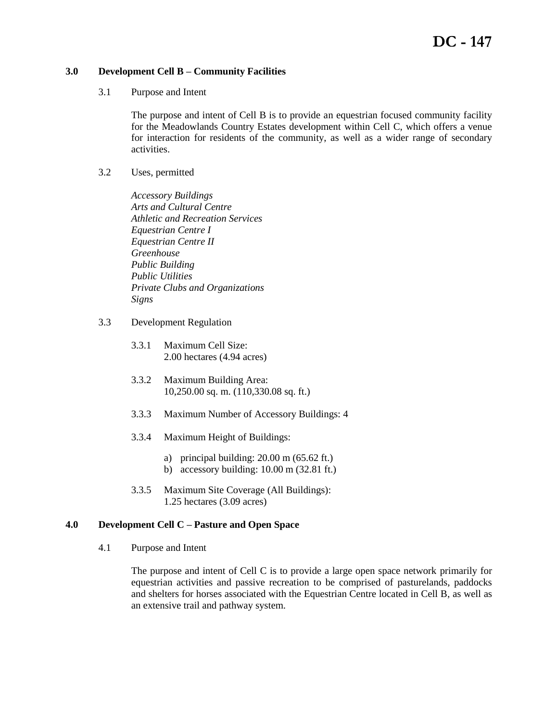## **3.0 Development Cell B – Community Facilities**

3.1 Purpose and Intent

The purpose and intent of Cell B is to provide an equestrian focused community facility for the Meadowlands Country Estates development within Cell C, which offers a venue for interaction for residents of the community, as well as a wider range of secondary activities.

3.2 Uses, permitted

*Accessory Buildings Arts and Cultural Centre Athletic and Recreation Services Equestrian Centre I Equestrian Centre II Greenhouse Public Building Public Utilities Private Clubs and Organizations Signs*

- 3.3 Development Regulation
	- 3.3.1 Maximum Cell Size: 2.00 hectares (4.94 acres)
	- 3.3.2 Maximum Building Area: 10,250.00 sq. m. (110,330.08 sq. ft.)
	- 3.3.3 Maximum Number of Accessory Buildings: 4
	- 3.3.4 Maximum Height of Buildings:
		- a) principal building:  $20.00 \text{ m}$  (65.62 ft.)
		- b) accessory building: 10.00 m (32.81 ft.)
	- 3.3.5 Maximum Site Coverage (All Buildings): 1.25 hectares (3.09 acres)

### **4.0 Development Cell C – Pasture and Open Space**

4.1 Purpose and Intent

The purpose and intent of Cell C is to provide a large open space network primarily for equestrian activities and passive recreation to be comprised of pasturelands, paddocks and shelters for horses associated with the Equestrian Centre located in Cell B, as well as an extensive trail and pathway system.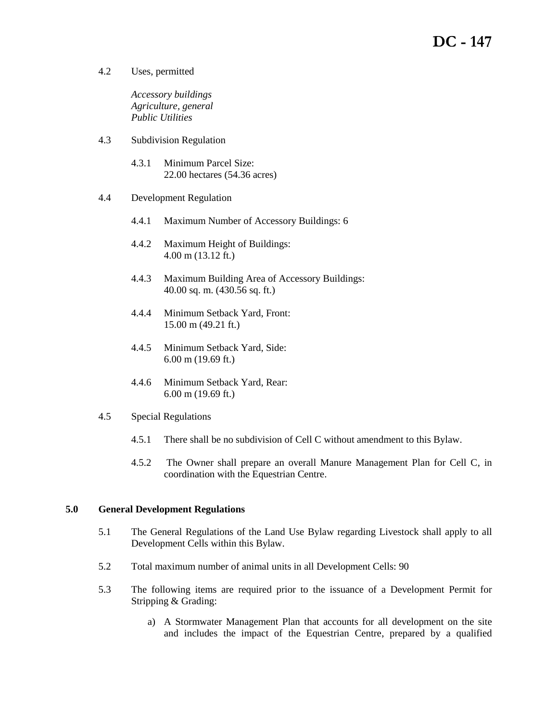# **DC - 147**

4.2 Uses, permitted

*Accessory buildings Agriculture, general Public Utilities*

- 4.3 Subdivision Regulation
	- 4.3.1 Minimum Parcel Size: 22.00 hectares (54.36 acres)
- 4.4 Development Regulation
	- 4.4.1 Maximum Number of Accessory Buildings: 6
	- 4.4.2 Maximum Height of Buildings: 4.00 m (13.12 ft.)
	- 4.4.3 Maximum Building Area of Accessory Buildings: 40.00 sq. m. (430.56 sq. ft.)
	- 4.4.4 Minimum Setback Yard, Front: 15.00 m (49.21 ft.)
	- 4.4.5 Minimum Setback Yard, Side: 6.00 m (19.69 ft.)
	- 4.4.6 Minimum Setback Yard, Rear: 6.00 m (19.69 ft.)

### 4.5 Special Regulations

- 4.5.1 There shall be no subdivision of Cell C without amendment to this Bylaw.
- 4.5.2 The Owner shall prepare an overall Manure Management Plan for Cell C, in coordination with the Equestrian Centre.

## **5.0 General Development Regulations**

- 5.1 The General Regulations of the Land Use Bylaw regarding Livestock shall apply to all Development Cells within this Bylaw.
- 5.2 Total maximum number of animal units in all Development Cells: 90
- 5.3 The following items are required prior to the issuance of a Development Permit for Stripping & Grading:
	- a) A Stormwater Management Plan that accounts for all development on the site and includes the impact of the Equestrian Centre, prepared by a qualified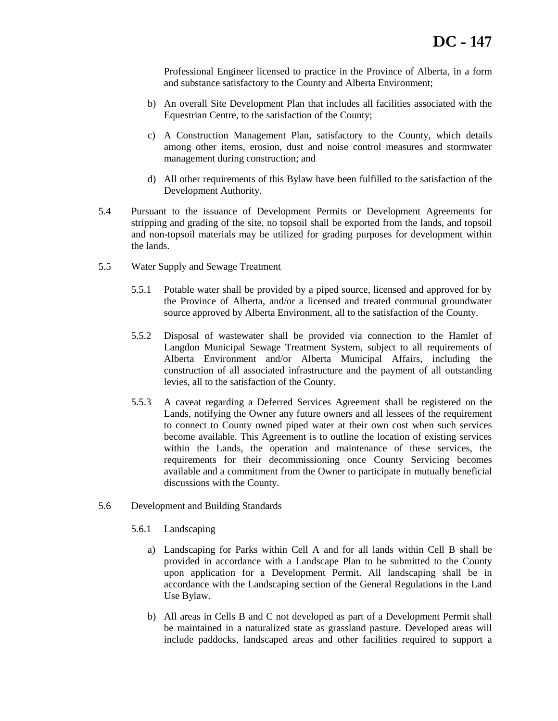Professional Engineer licensed to practice in the Province of Alberta, in a form and substance satisfactory to the County and Alberta Environment;

- b) An overall Site Development Plan that includes all facilities associated with the Equestrian Centre, to the satisfaction of the County;
- c) A Construction Management Plan, satisfactory to the County, which details among other items, erosion, dust and noise control measures and stormwater management during construction; and
- d) All other requirements of this Bylaw have been fulfilled to the satisfaction of the Development Authority.
- 5.4 Pursuant to the issuance of Development Permits or Development Agreements for stripping and grading of the site, no topsoil shall be exported from the lands, and topsoil and non-topsoil materials may be utilized for grading purposes for development within the lands.
- 5.5 Water Supply and Sewage Treatment
	- 5.5.1 Potable water shall be provided by a piped source, licensed and approved for by the Province of Alberta, and/or a licensed and treated communal groundwater source approved by Alberta Environment, all to the satisfaction of the County.
	- 5.5.2 Disposal of wastewater shall be provided via connection to the Hamlet of Langdon Municipal Sewage Treatment System, subject to all requirements of Alberta Environment and/or Alberta Municipal Affairs, including the construction of all associated infrastructure and the payment of all outstanding levies, all to the satisfaction of the County.
	- 5.5.3 A caveat regarding a Deferred Services Agreement shall be registered on the Lands, notifying the Owner any future owners and all lessees of the requirement to connect to County owned piped water at their own cost when such services become available. This Agreement is to outline the location of existing services within the Lands, the operation and maintenance of these services, the requirements for their decommissioning once County Servicing becomes available and a commitment from the Owner to participate in mutually beneficial discussions with the County.
- 5.6 Development and Building Standards
	- 5.6.1 Landscaping
		- a) Landscaping for Parks within Cell A and for all lands within Cell B shall be provided in accordance with a Landscape Plan to be submitted to the County upon application for a Development Permit. All landscaping shall be in accordance with the Landscaping section of the General Regulations in the Land Use Bylaw.
		- b) All areas in Cells B and C not developed as part of a Development Permit shall be maintained in a naturalized state as grassland pasture. Developed areas will include paddocks, landscaped areas and other facilities required to support a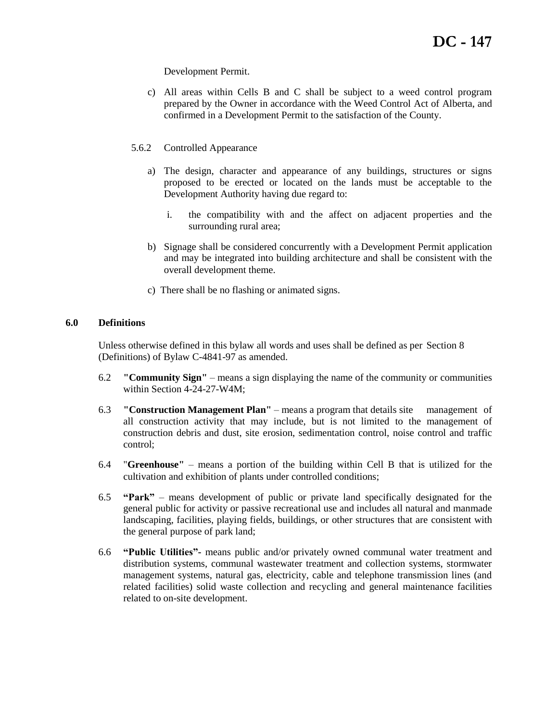Development Permit.

- c) All areas within Cells B and C shall be subject to a weed control program prepared by the Owner in accordance with the Weed Control Act of Alberta, and confirmed in a Development Permit to the satisfaction of the County.
- 5.6.2 Controlled Appearance
	- a) The design, character and appearance of any buildings, structures or signs proposed to be erected or located on the lands must be acceptable to the Development Authority having due regard to:
		- i. the compatibility with and the affect on adjacent properties and the surrounding rural area;
	- b) Signage shall be considered concurrently with a Development Permit application and may be integrated into building architecture and shall be consistent with the overall development theme.
	- c) There shall be no flashing or animated signs.

### **6.0 Definitions**

Unless otherwise defined in this bylaw all words and uses shall be defined as per Section 8 (Definitions) of Bylaw C-4841-97 as amended.

- 6.2 **"Community Sign"** means a sign displaying the name of the community or communities within Section 4-24-27-W4M;
- 6.3 **"Construction Management Plan"** means a program that details site management of all construction activity that may include, but is not limited to the management of construction debris and dust, site erosion, sedimentation control, noise control and traffic control;
- 6.4 "**Greenhouse"** means a portion of the building within Cell B that is utilized for the cultivation and exhibition of plants under controlled conditions;
- 6.5 **"Park"**  means development of public or private land specifically designated for the general public for activity or passive recreational use and includes all natural and manmade landscaping, facilities, playing fields, buildings, or other structures that are consistent with the general purpose of park land;
- 6.6 **"Public Utilities"-** means public and/or privately owned communal water treatment and distribution systems, communal wastewater treatment and collection systems, stormwater management systems, natural gas, electricity, cable and telephone transmission lines (and related facilities) solid waste collection and recycling and general maintenance facilities related to on-site development.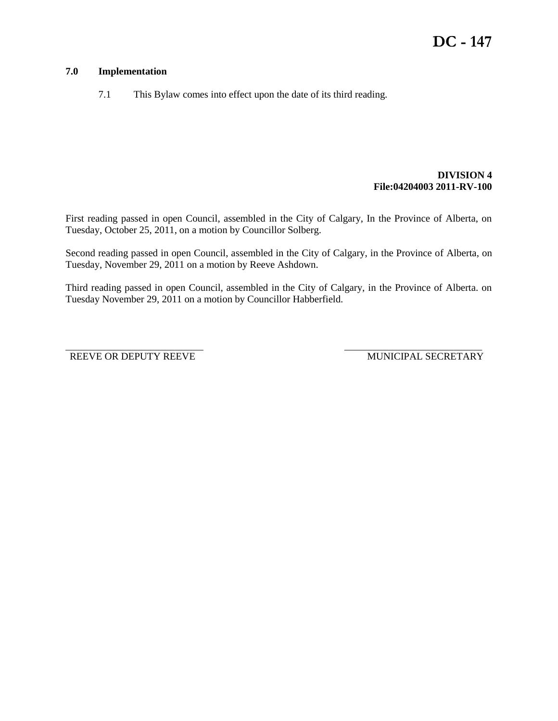# **7.0 Implementation**

7.1 This Bylaw comes into effect upon the date of its third reading.

### **DIVISION 4 File:04204003 2011-RV-100**

First reading passed in open Council, assembled in the City of Calgary, In the Province of Alberta, on Tuesday, October 25, 2011, on a motion by Councillor Solberg.

Second reading passed in open Council, assembled in the City of Calgary, in the Province of Alberta, on Tuesday, November 29, 2011 on a motion by Reeve Ashdown.

Third reading passed in open Council, assembled in the City of Calgary, in the Province of Alberta. on Tuesday November 29, 2011 on a motion by Councillor Habberfield.

\_\_\_\_\_\_\_\_\_\_\_\_\_\_\_\_\_\_\_\_\_\_\_\_\_\_\_\_\_\_\_\_\_\_ \_\_\_\_\_\_\_\_\_\_\_\_\_\_\_\_\_\_\_\_\_\_\_\_\_\_\_\_\_\_\_\_\_\_

REEVE OR DEPUTY REEVE MUNICIPAL SECRETARY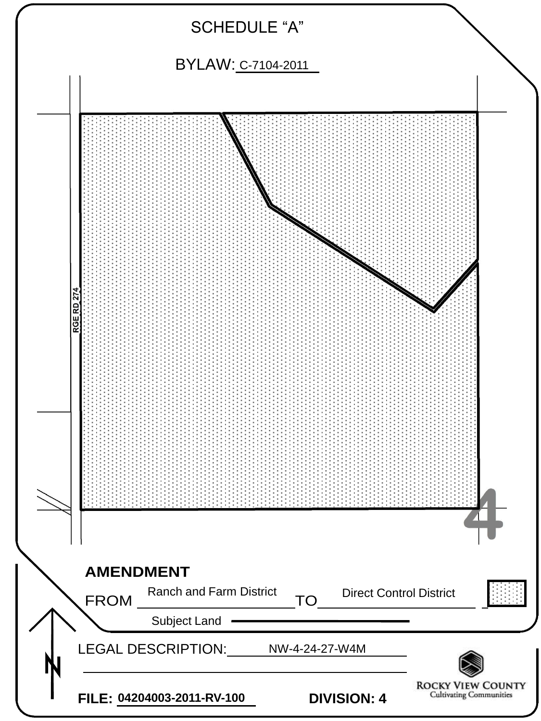